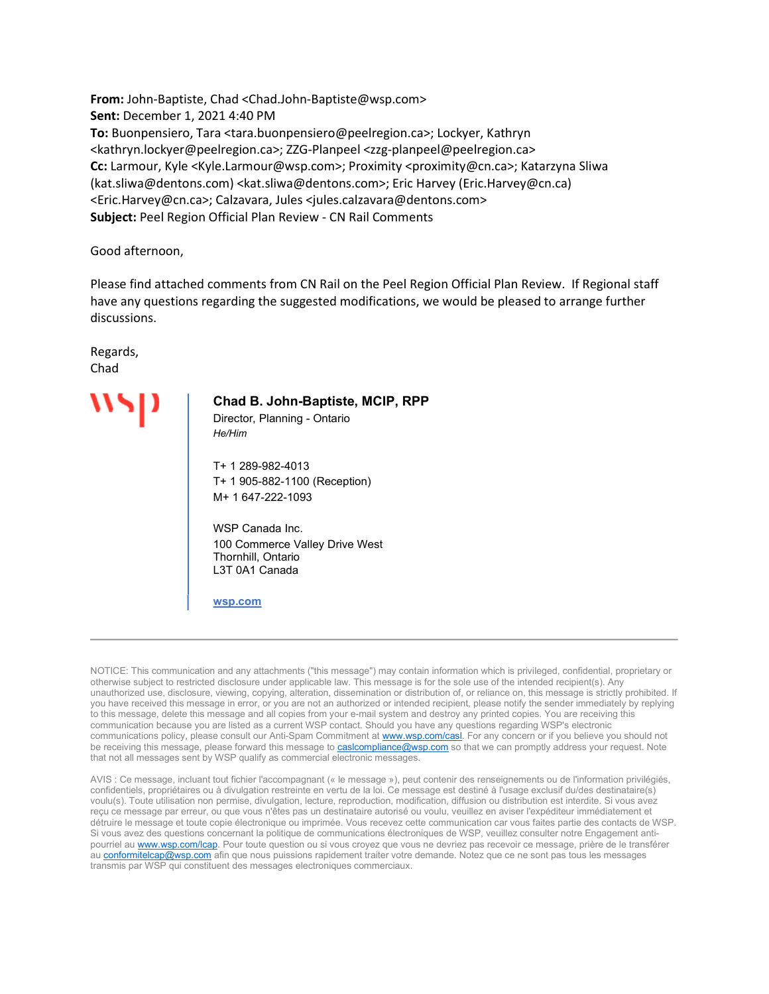From: John-Baptiste, Chad <Chad.John-Baptiste@wsp.com> Sent: December 1, 2021 4:40 PM To: Buonpensiero, Tara <tara.buonpensiero@peelregion.ca>; Lockyer, Kathryn <kathryn.lockyer@peelregion.ca>; ZZG-Planpeel <zzg-planpeel@peelregion.ca> Cc: Larmour, Kyle <Kyle.Larmour@wsp.com>; Proximity <proximity@cn.ca>; Katarzyna Sliwa (kat.sliwa@dentons.com) <kat.sliwa@dentons.com>; Eric Harvey (Eric.Harvey@cn.ca) <Eric.Harvey@cn.ca>; Calzavara, Jules <jules.calzavara@dentons.com> Subject: Peel Region Official Plan Review - CN Rail Comments

#### Good afternoon,

Please find attached comments from CN Rail on the Peel Region Official Plan Review. If Regional staff have any questions regarding the suggested modifications, we would be pleased to arrange further discussions.

Regards, Chad

#### Chad B. John-Baptiste, MCIP, RPP

Director, Planning - Ontario He/Him

 T+ 1 289-982-4013 T+ 1 905-882-1100 (Reception) M+ 1 647-222-1093

 WSP Canada Inc. 100 Commerce Valley Drive West Thornhill, Ontario L3T 0A1 Canada

wsp.com

NOTICE: This communication and any attachments ("this message") may contain information which is privileged, confidential, proprietary or otherwise subject to restricted disclosure under applicable law. This message is for the sole use of the intended recipient(s). Any unauthorized use, disclosure, viewing, copying, alteration, dissemination or distribution of, or reliance on, this message is strictly prohibited. If you have received this message in error, or you are not an authorized or intended recipient, please notify the sender immediately by replying to this message, delete this message and all copies from your e-mail system and destroy any printed copies. You are receiving this communication because you are listed as a current WSP contact. Should you have any questions regarding WSP's electronic communications policy, please consult our Anti-Spam Commitment at www.wsp.com/casl. For any concern or if you believe you should not be receiving this message, please forward this message to casicompliance@wsp.com so that we can promptly address your request. Note that not all messages sent by WSP qualify as commercial electronic messages.

AVIS : Ce message, incluant tout fichier l'accompagnant (« le message »), peut contenir des renseignements ou de l'information privilégiés, confidentiels, propriétaires ou à divulgation restreinte en vertu de la loi. Ce message est destiné à l'usage exclusif du/des destinataire(s) voulu(s). Toute utilisation non permise, divulgation, lecture, reproduction, modification, diffusion ou distribution est interdite. Si vous avez reçu ce message par erreur, ou que vous n'êtes pas un destinataire autorisé ou voulu, veuillez en aviser l'expéditeur immédiatement et détruire le message et toute copie électronique ou imprimée. Vous recevez cette communication car vous faites partie des contacts de WSP. Si vous avez des questions concernant la politique de communications électroniques de WSP, veuillez consulter notre Engagement antipourriel au www.wsp.com/lcap. Pour toute question ou si vous croyez que vous ne devriez pas recevoir ce message, prière de le transférer au conformitelcap@wsp.com afin que nous puissions rapidement traiter votre demande. Notez que ce ne sont pas tous les messages transmis par WSP qui constituent des messages electroniques commerciaux.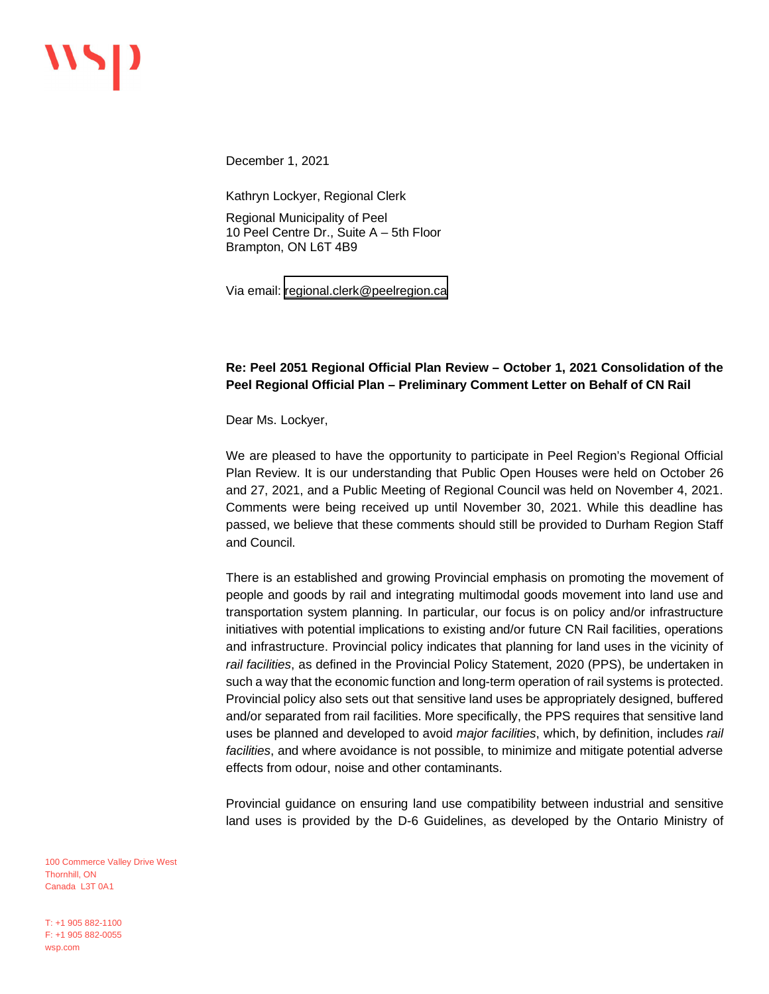December 1, 2021

Kathryn Lockyer, Regional Clerk

Regional Municipality of Peel 10 Peel Centre Dr., Suite A – 5th Floor Brampton, ON L6T 4B9

Via email: [regional.clerk@peelregion.ca](mailto:regional.clerk@peelregion.ca)

## **Re: Peel 2051 Regional Official Plan Review – October 1, 2021 Consolidation of the Peel Regional Official Plan – Preliminary Comment Letter on Behalf of CN Rail**

Dear Ms. Lockyer,

We are pleased to have the opportunity to participate in Peel Region's Regional Official Plan Review. It is our understanding that Public Open Houses were held on October 26 and 27, 2021, and a Public Meeting of Regional Council was held on November 4, 2021. Comments were being received up until November 30, 2021. While this deadline has passed, we believe that these comments should still be provided to Durham Region Staff and Council.

There is an established and growing Provincial emphasis on promoting the movement of people and goods by rail and integrating multimodal goods movement into land use and transportation system planning. In particular, our focus is on policy and/or infrastructure initiatives with potential implications to existing and/or future CN Rail facilities, operations and infrastructure. Provincial policy indicates that planning for land uses in the vicinity of *rail facilities*, as defined in the Provincial Policy Statement, 2020 (PPS), be undertaken in such a way that the economic function and long-term operation of rail systems is protected. Provincial policy also sets out that sensitive land uses be appropriately designed, buffered and/or separated from rail facilities. More specifically, the PPS requires that sensitive land uses be planned and developed to avoid *major facilities*, which, by definition, includes *rail facilities*, and where avoidance is not possible, to minimize and mitigate potential adverse effects from odour, noise and other contaminants.

Provincial guidance on ensuring land use compatibility between industrial and sensitive land uses is provided by the D-6 Guidelines, as developed by the Ontario Ministry of

100 Commerce Valley Drive West Thornhill, ON Canada L3T 0A1

T: +1 905 882-1100 F: +1 905 882-0055 wsp.com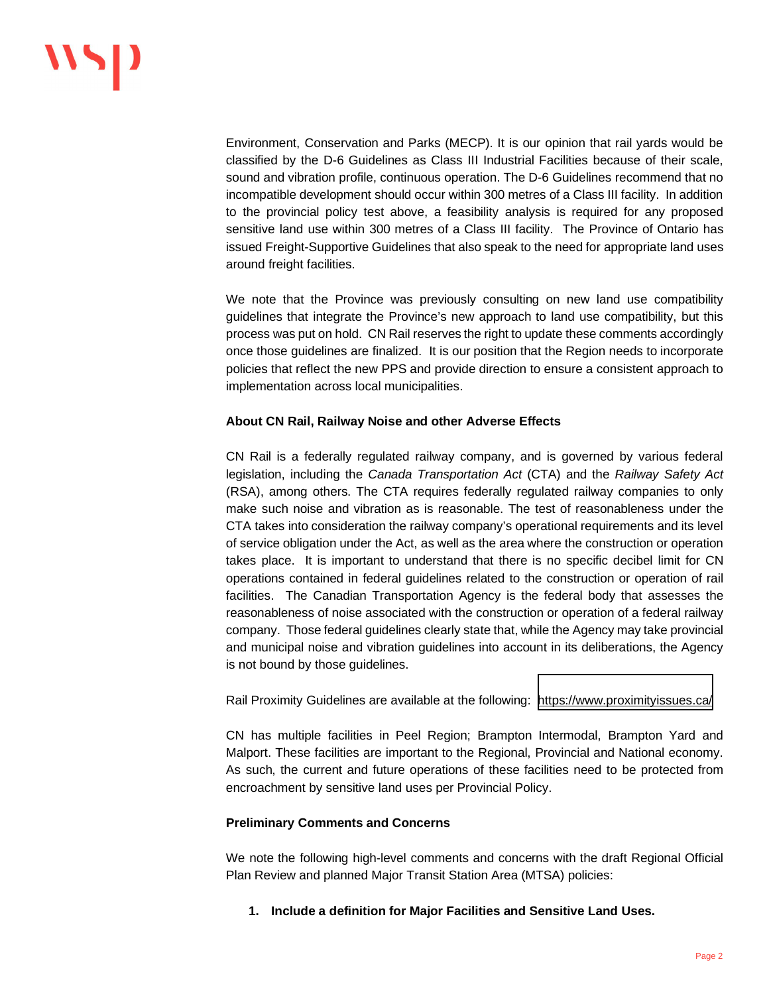Environment, Conservation and Parks (MECP). It is our opinion that rail yards would be classified by the D-6 Guidelines as Class III Industrial Facilities because of their scale, sound and vibration profile, continuous operation. The D-6 Guidelines recommend that no incompatible development should occur within 300 metres of a Class III facility. In addition to the provincial policy test above, a feasibility analysis is required for any proposed sensitive land use within 300 metres of a Class III facility. The Province of Ontario has issued Freight-Supportive Guidelines that also speak to the need for appropriate land uses around freight facilities.

We note that the Province was previously consulting on new land use compatibility guidelines that integrate the Province's new approach to land use compatibility, but this process was put on hold. CN Rail reserves the right to update these comments accordingly once those guidelines are finalized. It is our position that the Region needs to incorporate policies that reflect the new PPS and provide direction to ensure a consistent approach to implementation across local municipalities.

#### **About CN Rail, Railway Noise and other Adverse Effects**

CN Rail is a federally regulated railway company, and is governed by various federal legislation, including the *Canada Transportation Act* (CTA) and the *Railway Safety Act* (RSA), among others. The CTA requires federally regulated railway companies to only make such noise and vibration as is reasonable. The test of reasonableness under the CTA takes into consideration the railway company's operational requirements and its level of service obligation under the Act, as well as the area where the construction or operation takes place. It is important to understand that there is no specific decibel limit for CN operations contained in federal guidelines related to the construction or operation of rail facilities. The Canadian Transportation Agency is the federal body that assesses the reasonableness of noise associated with the construction or operation of a federal railway company. Those federal guidelines clearly state that, while the Agency may take provincial and municipal noise and vibration guidelines into account in its deliberations, the Agency is not bound by those guidelines.

Rail Proximity Guidelines are available at the following: <https://www.proximityissues.ca/>

CN has multiple facilities in Peel Region; Brampton Intermodal, Brampton Yard and Malport. These facilities are important to the Regional, Provincial and National economy. As such, the current and future operations of these facilities need to be protected from encroachment by sensitive land uses per Provincial Policy.

#### **Preliminary Comments and Concerns**

We note the following high-level comments and concerns with the draft Regional Official Plan Review and planned Major Transit Station Area (MTSA) policies:

#### **1. Include a definition for Major Facilities and Sensitive Land Uses.**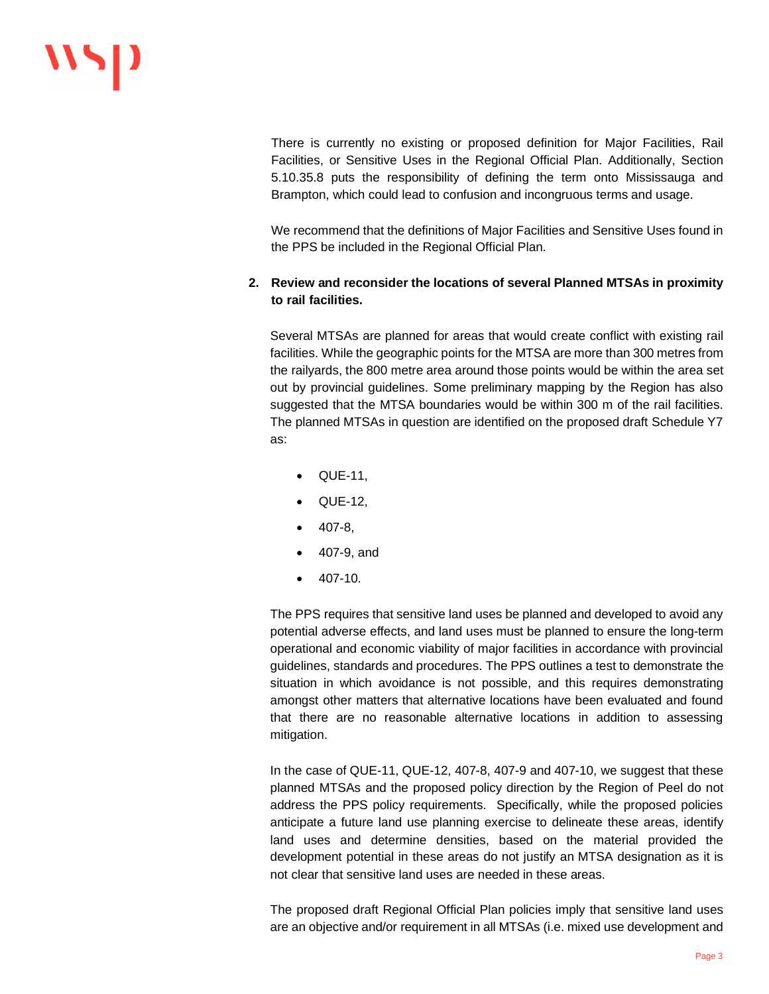There is currently no existing or proposed definition for Major Facilities, Rail Facilities, or Sensitive Uses in the Regional Official Plan. Additionally, Section 5.10.35.8 puts the responsibility of defining the term onto Mississauga and Brampton, which could lead to confusion and incongruous terms and usage.

We recommend that the definitions of Major Facilities and Sensitive Uses found in the PPS be included in the Regional Official Plan.

# **2. Review and reconsider the locations of several Planned MTSAs in proximity to rail facilities.**

Several MTSAs are planned for areas that would create conflict with existing rail facilities. While the geographic points for the MTSA are more than 300 metres from the railyards, the 800 metre area around those points would be within the area set out by provincial guidelines. Some preliminary mapping by the Region has also suggested that the MTSA boundaries would be within 300 m of the rail facilities. The planned MTSAs in question are identified on the proposed draft Schedule Y7 as:

- · QUE-11,
- · QUE-12,
- · 407-8,
- · 407-9, and
- · 407-10.

The PPS requires that sensitive land uses be planned and developed to avoid any potential adverse effects, and land uses must be planned to ensure the long-term operational and economic viability of major facilities in accordance with provincial guidelines, standards and procedures. The PPS outlines a test to demonstrate the situation in which avoidance is not possible, and this requires demonstrating amongst other matters that alternative locations have been evaluated and found that there are no reasonable alternative locations in addition to assessing mitigation.

In the case of QUE-11, QUE-12, 407-8, 407-9 and 407-10, we suggest that these planned MTSAs and the proposed policy direction by the Region of Peel do not address the PPS policy requirements. Specifically, while the proposed policies anticipate a future land use planning exercise to delineate these areas, identify land uses and determine densities, based on the material provided the development potential in these areas do not justify an MTSA designation as it is not clear that sensitive land uses are needed in these areas.

The proposed draft Regional Official Plan policies imply that sensitive land uses are an objective and/or requirement in all MTSAs (i.e. mixed use development and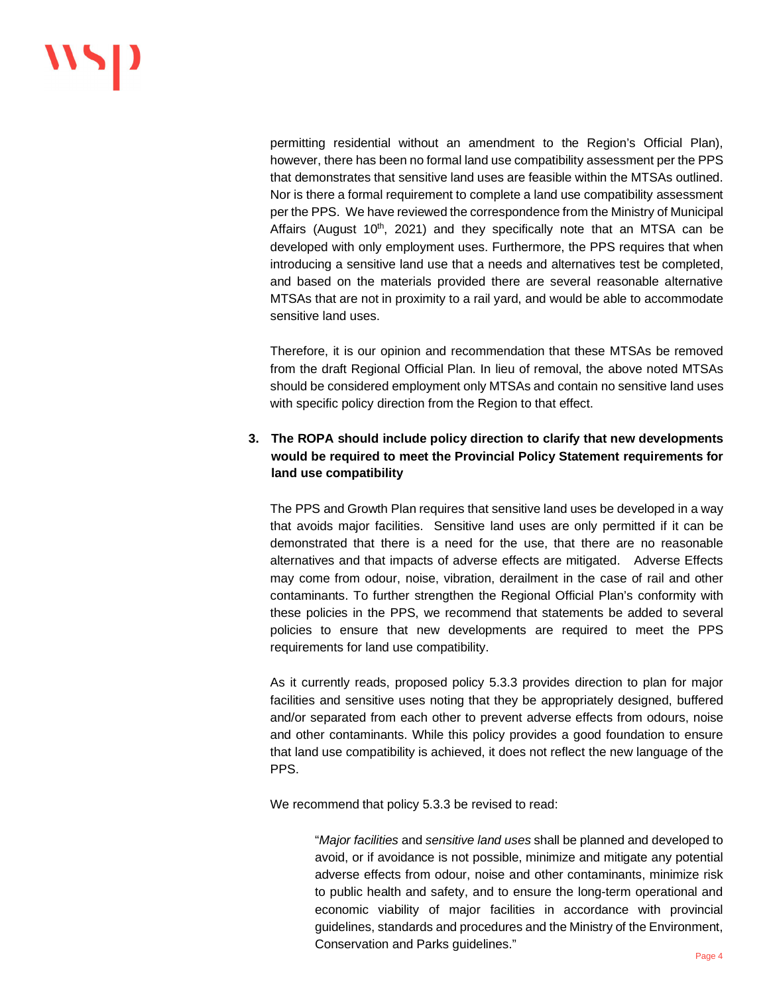permitting residential without an amendment to the Region's Official Plan), however, there has been no formal land use compatibility assessment per the PPS that demonstrates that sensitive land uses are feasible within the MTSAs outlined. Nor is there a formal requirement to complete a land use compatibility assessment per the PPS. We have reviewed the correspondence from the Ministry of Municipal Affairs (August  $10<sup>th</sup>$ , 2021) and they specifically note that an MTSA can be developed with only employment uses. Furthermore, the PPS requires that when introducing a sensitive land use that a needs and alternatives test be completed, and based on the materials provided there are several reasonable alternative MTSAs that are not in proximity to a rail yard, and would be able to accommodate sensitive land uses.

Therefore, it is our opinion and recommendation that these MTSAs be removed from the draft Regional Official Plan. In lieu of removal, the above noted MTSAs should be considered employment only MTSAs and contain no sensitive land uses with specific policy direction from the Region to that effect.

# **3. The ROPA should include policy direction to clarify that new developments would be required to meet the Provincial Policy Statement requirements for land use compatibility**

The PPS and Growth Plan requires that sensitive land uses be developed in a way that avoids major facilities. Sensitive land uses are only permitted if it can be demonstrated that there is a need for the use, that there are no reasonable alternatives and that impacts of adverse effects are mitigated. Adverse Effects may come from odour, noise, vibration, derailment in the case of rail and other contaminants. To further strengthen the Regional Official Plan's conformity with these policies in the PPS, we recommend that statements be added to several policies to ensure that new developments are required to meet the PPS requirements for land use compatibility.

As it currently reads, proposed policy 5.3.3 provides direction to plan for major facilities and sensitive uses noting that they be appropriately designed, buffered and/or separated from each other to prevent adverse effects from odours, noise and other contaminants. While this policy provides a good foundation to ensure that land use compatibility is achieved, it does not reflect the new language of the PPS.

We recommend that policy 5.3.3 be revised to read:

"*Major facilities* and *sensitive land uses* shall be planned and developed to avoid, or if avoidance is not possible, minimize and mitigate any potential adverse effects from odour, noise and other contaminants, minimize risk to public health and safety, and to ensure the long-term operational and economic viability of major facilities in accordance with provincial guidelines, standards and procedures and the Ministry of the Environment, Conservation and Parks guidelines."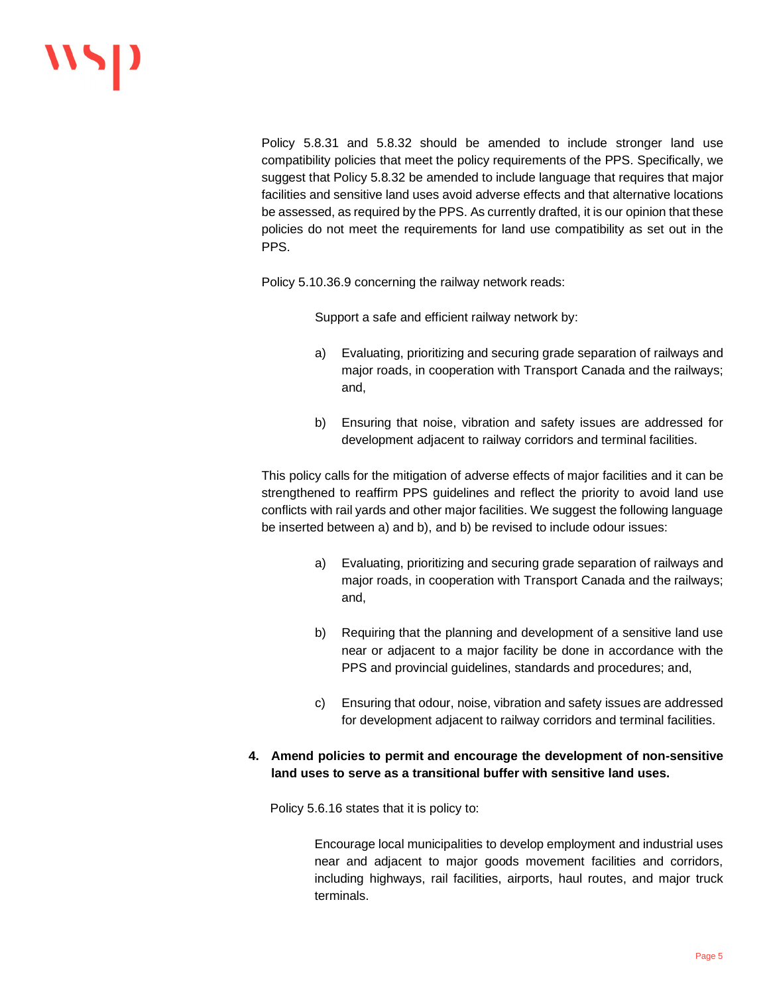Policy 5.8.31 and 5.8.32 should be amended to include stronger land use compatibility policies that meet the policy requirements of the PPS. Specifically, we suggest that Policy 5.8.32 be amended to include language that requires that major facilities and sensitive land uses avoid adverse effects and that alternative locations be assessed, as required by the PPS. As currently drafted, it is our opinion that these policies do not meet the requirements for land use compatibility as set out in the PPS.

Policy 5.10.36.9 concerning the railway network reads:

Support a safe and efficient railway network by:

- a) Evaluating, prioritizing and securing grade separation of railways and major roads, in cooperation with Transport Canada and the railways; and,
- b) Ensuring that noise, vibration and safety issues are addressed for development adjacent to railway corridors and terminal facilities.

This policy calls for the mitigation of adverse effects of major facilities and it can be strengthened to reaffirm PPS guidelines and reflect the priority to avoid land use conflicts with rail yards and other major facilities. We suggest the following language be inserted between a) and b), and b) be revised to include odour issues:

- a) Evaluating, prioritizing and securing grade separation of railways and major roads, in cooperation with Transport Canada and the railways; and,
- b) Requiring that the planning and development of a sensitive land use near or adjacent to a major facility be done in accordance with the PPS and provincial guidelines, standards and procedures; and,
- c) Ensuring that odour, noise, vibration and safety issues are addressed for development adjacent to railway corridors and terminal facilities.
- **4. Amend policies to permit and encourage the development of non-sensitive land uses to serve as a transitional buffer with sensitive land uses.**

Policy 5.6.16 states that it is policy to:

Encourage local municipalities to develop employment and industrial uses near and adjacent to major goods movement facilities and corridors, including highways, rail facilities, airports, haul routes, and major truck terminals.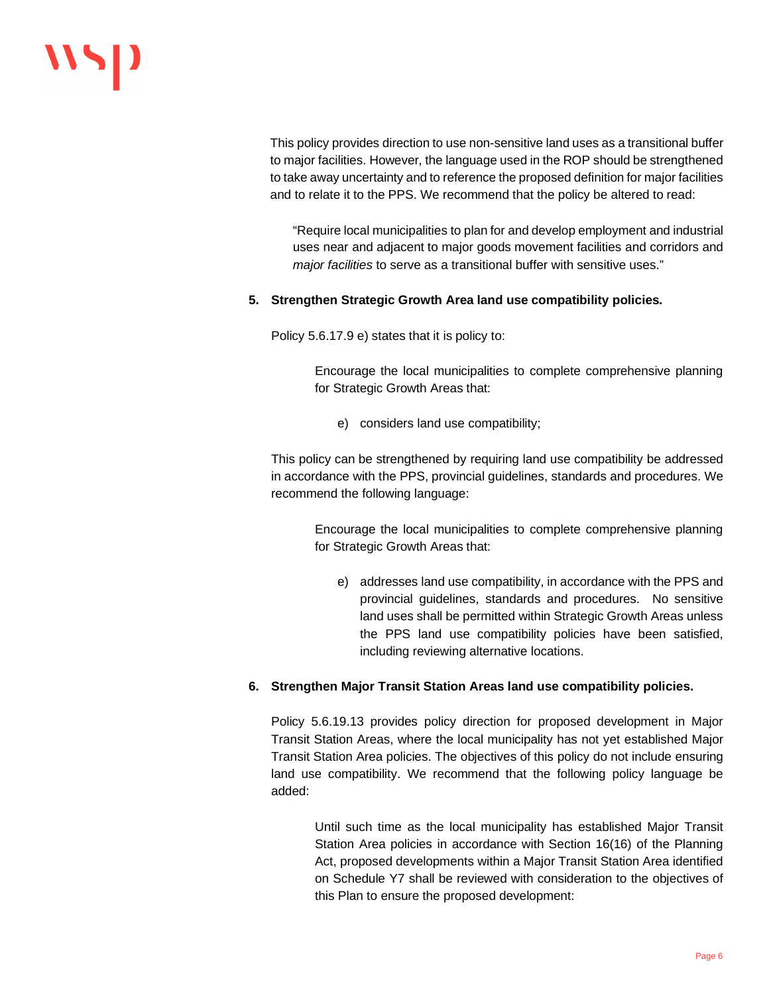# WSP

This policy provides direction to use non-sensitive land uses as a transitional buffer to major facilities. However, the language used in the ROP should be strengthened to take away uncertainty and to reference the proposed definition for major facilities and to relate it to the PPS. We recommend that the policy be altered to read:

"Require local municipalities to plan for and develop employment and industrial uses near and adjacent to major goods movement facilities and corridors and *major facilities* to serve as a transitional buffer with sensitive uses."

### **5. Strengthen Strategic Growth Area land use compatibility policies.**

Policy 5.6.17.9 e) states that it is policy to:

Encourage the local municipalities to complete comprehensive planning for Strategic Growth Areas that:

e) considers land use compatibility;

This policy can be strengthened by requiring land use compatibility be addressed in accordance with the PPS, provincial guidelines, standards and procedures. We recommend the following language:

Encourage the local municipalities to complete comprehensive planning for Strategic Growth Areas that:

e) addresses land use compatibility, in accordance with the PPS and provincial guidelines, standards and procedures. No sensitive land uses shall be permitted within Strategic Growth Areas unless the PPS land use compatibility policies have been satisfied, including reviewing alternative locations.

#### **6. Strengthen Major Transit Station Areas land use compatibility policies.**

Policy 5.6.19.13 provides policy direction for proposed development in Major Transit Station Areas, where the local municipality has not yet established Major Transit Station Area policies. The objectives of this policy do not include ensuring land use compatibility. We recommend that the following policy language be added:

Until such time as the local municipality has established Major Transit Station Area policies in accordance with Section 16(16) of the Planning Act, proposed developments within a Major Transit Station Area identified on Schedule Y7 shall be reviewed with consideration to the objectives of this Plan to ensure the proposed development: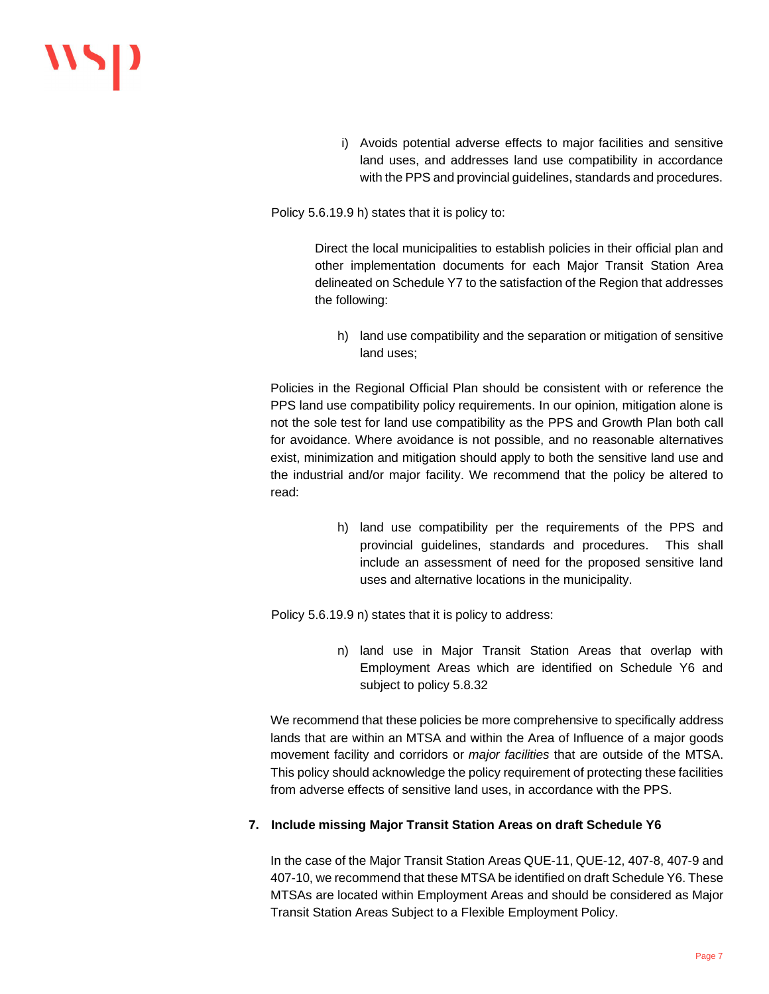i) Avoids potential adverse effects to major facilities and sensitive land uses, and addresses land use compatibility in accordance with the PPS and provincial guidelines, standards and procedures.

Policy 5.6.19.9 h) states that it is policy to:

Direct the local municipalities to establish policies in their official plan and other implementation documents for each Major Transit Station Area delineated on Schedule Y7 to the satisfaction of the Region that addresses the following:

h) land use compatibility and the separation or mitigation of sensitive land uses;

Policies in the Regional Official Plan should be consistent with or reference the PPS land use compatibility policy requirements. In our opinion, mitigation alone is not the sole test for land use compatibility as the PPS and Growth Plan both call for avoidance. Where avoidance is not possible, and no reasonable alternatives exist, minimization and mitigation should apply to both the sensitive land use and the industrial and/or major facility. We recommend that the policy be altered to read:

> h) land use compatibility per the requirements of the PPS and provincial guidelines, standards and procedures. This shall include an assessment of need for the proposed sensitive land uses and alternative locations in the municipality.

Policy 5.6.19.9 n) states that it is policy to address:

n) land use in Major Transit Station Areas that overlap with Employment Areas which are identified on Schedule Y6 and subject to policy 5.8.32

We recommend that these policies be more comprehensive to specifically address lands that are within an MTSA and within the Area of Influence of a major goods movement facility and corridors or *major facilities* that are outside of the MTSA. This policy should acknowledge the policy requirement of protecting these facilities from adverse effects of sensitive land uses, in accordance with the PPS.

## **7. Include missing Major Transit Station Areas on draft Schedule Y6**

In the case of the Major Transit Station Areas QUE-11, QUE-12, 407-8, 407-9 and 407-10, we recommend that these MTSA be identified on draft Schedule Y6. These MTSAs are located within Employment Areas and should be considered as Major Transit Station Areas Subject to a Flexible Employment Policy.